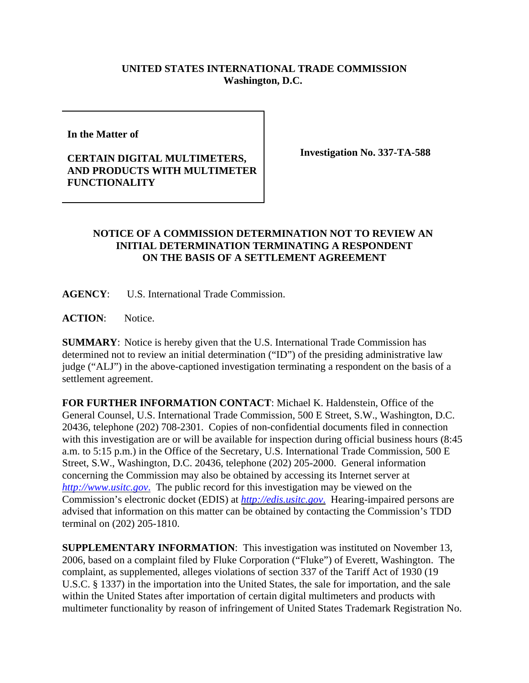## **UNITED STATES INTERNATIONAL TRADE COMMISSION Washington, D.C.**

**In the Matter of** 

## **CERTAIN DIGITAL MULTIMETERS, AND PRODUCTS WITH MULTIMETER FUNCTIONALITY**

**Investigation No. 337-TA-588**

## **NOTICE OF A COMMISSION DETERMINATION NOT TO REVIEW AN INITIAL DETERMINATION TERMINATING A RESPONDENT ON THE BASIS OF A SETTLEMENT AGREEMENT**

**AGENCY**: U.S. International Trade Commission.

**ACTION**: Notice.

**SUMMARY**: Notice is hereby given that the U.S. International Trade Commission has determined not to review an initial determination ("ID") of the presiding administrative law judge ("ALJ") in the above-captioned investigation terminating a respondent on the basis of a settlement agreement.

**FOR FURTHER INFORMATION CONTACT**: Michael K. Haldenstein, Office of the General Counsel, U.S. International Trade Commission, 500 E Street, S.W., Washington, D.C. 20436, telephone (202) 708-2301. Copies of non-confidential documents filed in connection with this investigation are or will be available for inspection during official business hours (8:45 a.m. to 5:15 p.m.) in the Office of the Secretary, U.S. International Trade Commission, 500 E Street, S.W., Washington, D.C. 20436, telephone (202) 205-2000. General information concerning the Commission may also be obtained by accessing its Internet server at *http://www.usitc.gov*. The public record for this investigation may be viewed on the Commission's electronic docket (EDIS) at *http://edis.usitc.gov*. Hearing-impaired persons are advised that information on this matter can be obtained by contacting the Commission's TDD terminal on (202) 205-1810.

**SUPPLEMENTARY INFORMATION**: This investigation was instituted on November 13, 2006, based on a complaint filed by Fluke Corporation ("Fluke") of Everett, Washington. The complaint, as supplemented, alleges violations of section 337 of the Tariff Act of 1930 (19 U.S.C. § 1337) in the importation into the United States, the sale for importation, and the sale within the United States after importation of certain digital multimeters and products with multimeter functionality by reason of infringement of United States Trademark Registration No.